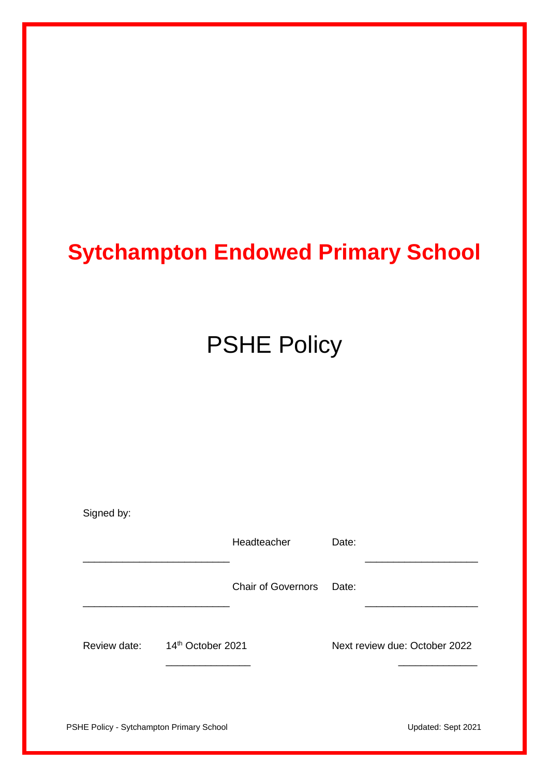## **Sytchampton Endowed Primary School**

# PSHE Policy

| Signed by:   |                           |                               |
|--------------|---------------------------|-------------------------------|
|              | Headteacher               | Date:                         |
|              | <b>Chair of Governors</b> | Date:                         |
| Review date: | 14th October 2021         | Next review due: October 2022 |

PSHE Policy - Sytchampton Primary School **Contract Contract Contract Contract Contract Contract Contract Contract Contract Contract Contract Contract Contract Contract Contract Contract Contract Contract Contract Contract**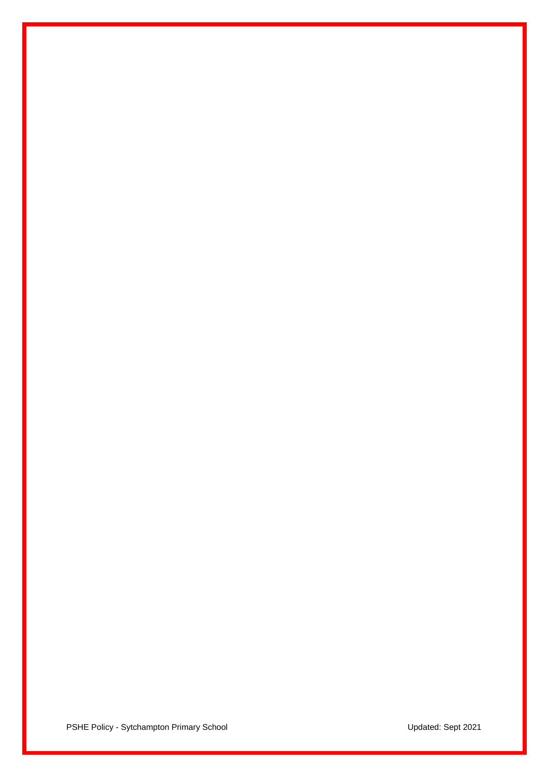PSHE Policy - Sytchampton Primary School **Contract Contract Contract Contract Contract Contract Contract Contract Contract Contract Contract Contract Contract Contract Contract Contract Contract Contract Contract Contract**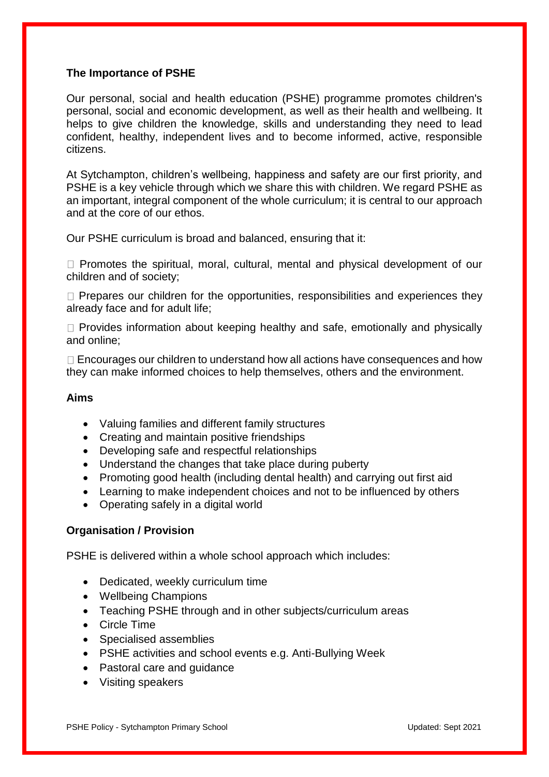### **The Importance of PSHE**

Our personal, social and health education (PSHE) programme promotes children's personal, social and economic development, as well as their health and wellbeing. It helps to give children the knowledge, skills and understanding they need to lead confident, healthy, independent lives and to become informed, active, responsible citizens.

At Sytchampton, children's wellbeing, happiness and safety are our first priority, and PSHE is a key vehicle through which we share this with children. We regard PSHE as an important, integral component of the whole curriculum; it is central to our approach and at the core of our ethos.

Our PSHE curriculum is broad and balanced, ensuring that it:

 $\Box$  Promotes the spiritual, moral, cultural, mental and physical development of our children and of society;

 $\Box$  Prepares our children for the opportunities, responsibilities and experiences they already face and for adult life;

 $\Box$  Provides information about keeping healthy and safe, emotionally and physically and online;

 $\Box$  Encourages our children to understand how all actions have consequences and how they can make informed choices to help themselves, others and the environment.

#### **Aims**

- Valuing families and different family structures
- Creating and maintain positive friendships
- Developing safe and respectful relationships
- Understand the changes that take place during puberty
- Promoting good health (including dental health) and carrying out first aid
- Learning to make independent choices and not to be influenced by others
- Operating safely in a digital world

#### **Organisation / Provision**

PSHE is delivered within a whole school approach which includes:

- Dedicated, weekly curriculum time
- Wellbeing Champions
- Teaching PSHE through and in other subjects/curriculum areas
- Circle Time
- Specialised assemblies
- PSHE activities and school events e.g. Anti-Bullying Week
- Pastoral care and guidance
- Visiting speakers